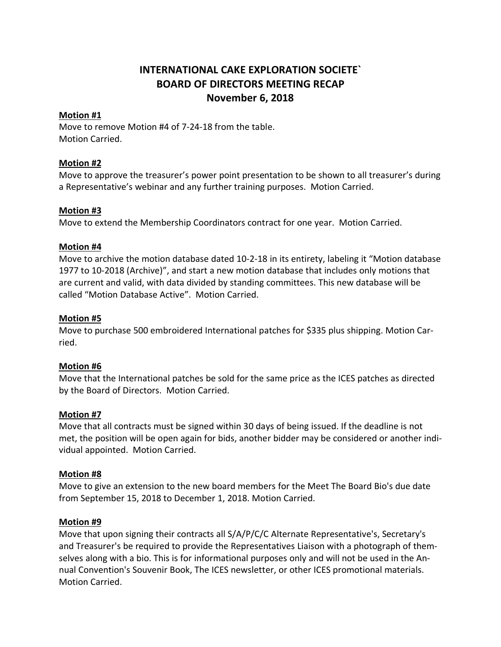# **INTERNATIONAL CAKE EXPLORATION SOCIETE` BOARD OF DIRECTORS MEETING RECAP November 6, 2018**

## **Motion #1**

Move to remove Motion #4 of 7-24-18 from the table. Motion Carried.

## **Motion #2**

Move to approve the treasurer's power point presentation to be shown to all treasurer's during a Representative's webinar and any further training purposes. Motion Carried.

## **Motion #3**

Move to extend the Membership Coordinators contract for one year. Motion Carried.

## **Motion #4**

Move to archive the motion database dated 10-2-18 in its entirety, labeling it "Motion database 1977 to 10-2018 (Archive)", and start a new motion database that includes only motions that are current and valid, with data divided by standing committees. This new database will be called "Motion Database Active". Motion Carried.

## **Motion #5**

Move to purchase 500 embroidered International patches for \$335 plus shipping. Motion Carried.

#### **Motion #6**

Move that the International patches be sold for the same price as the ICES patches as directed by the Board of Directors. Motion Carried.

#### **Motion #7**

Move that all contracts must be signed within 30 days of being issued. If the deadline is not met, the position will be open again for bids, another bidder may be considered or another individual appointed. Motion Carried.

#### **Motion #8**

Move to give an extension to the new board members for the Meet The Board Bio's due date from September 15, 2018 to December 1, 2018. Motion Carried.

#### **Motion #9**

Move that upon signing their contracts all S/A/P/C/C Alternate Representative's, Secretary's and Treasurer's be required to provide the Representatives Liaison with a photograph of themselves along with a bio. This is for informational purposes only and will not be used in the Annual Convention's Souvenir Book, The ICES newsletter, or other ICES promotional materials. Motion Carried.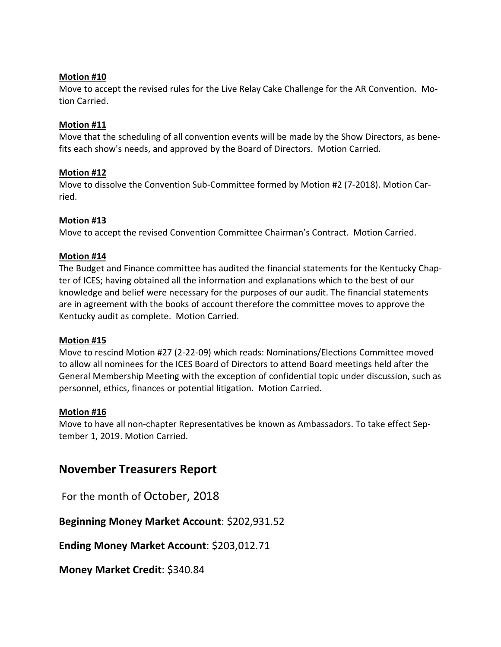#### **Motion #10**

Move to accept the revised rules for the Live Relay Cake Challenge for the AR Convention. Motion Carried.

## **Motion #11**

Move that the scheduling of all convention events will be made by the Show Directors, as benefits each show's needs, and approved by the Board of Directors. Motion Carried.

## **Motion #12**

Move to dissolve the Convention Sub-Committee formed by Motion #2 (7-2018). Motion Carried.

## **Motion #13**

Move to accept the revised Convention Committee Chairman's Contract. Motion Carried.

## **Motion #14**

The Budget and Finance committee has audited the financial statements for the Kentucky Chapter of ICES; having obtained all the information and explanations which to the best of our knowledge and belief were necessary for the purposes of our audit. The financial statements are in agreement with the books of account therefore the committee moves to approve the Kentucky audit as complete. Motion Carried.

#### **Motion #15**

Move to rescind Motion #27 (2-22-09) which reads: Nominations/Elections Committee moved to allow all nominees for the ICES Board of Directors to attend Board meetings held after the General Membership Meeting with the exception of confidential topic under discussion, such as personnel, ethics, finances or potential litigation. Motion Carried.

#### **Motion #16**

Move to have all non-chapter Representatives be known as Ambassadors. To take effect September 1, 2019. Motion Carried.

## **November Treasurers Report**

For the month of October, 2018

**Beginning Money Market Account**: \$202,931.52

**Ending Money Market Account**: \$203,012.71

**Money Market Credit**: \$340.84